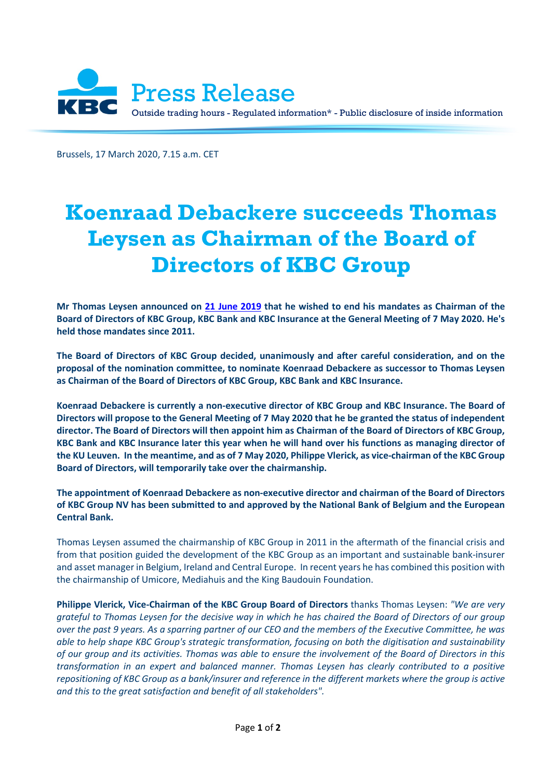

Brussels, 17 March 2020, 7.15 a.m. CET

## **Koenraad Debackere succeeds Thomas Leysen as Chairman of the Board of Directors of KBC Group**

**Mr Thomas Leysen announced on [21 June 2019](https://www.kbc.com/content/dam/kbccom/doc/newsroom/pressreleases/2019/20190621_Board_KBC_en.pdf) that he wished to end his mandates as Chairman of the Board of Directors of KBC Group, KBC Bank and KBC Insurance at the General Meeting of 7 May 2020. He's held those mandates since 2011.**

**The Board of Directors of KBC Group decided, unanimously and after careful consideration, and on the proposal of the nomination committee, to nominate Koenraad Debackere as successor to Thomas Leysen as Chairman of the Board of Directors of KBC Group, KBC Bank and KBC Insurance.** 

**Koenraad Debackere is currently a non-executive director of KBC Group and KBC Insurance. The Board of Directors will propose to the General Meeting of 7 May 2020 that he be granted the status of independent director. The Board of Directors will then appoint him as Chairman of the Board of Directors of KBC Group, KBC Bank and KBC Insurance later this year when he will hand over his functions as managing director of the KU Leuven. In the meantime, and as of 7 May 2020, Philippe Vlerick, as vice-chairman of the KBC Group Board of Directors, will temporarily take over the chairmanship.**

**The appointment of Koenraad Debackere as non-executive director and chairman of the Board of Directors of KBC Group NV has been submitted to and approved by the National Bank of Belgium and the European Central Bank.**

Thomas Leysen assumed the chairmanship of KBC Group in 2011 in the aftermath of the financial crisis and from that position guided the development of the KBC Group as an important and sustainable bank-insurer and asset manager in Belgium, Ireland and Central Europe. In recent years he has combined this position with the chairmanship of Umicore, Mediahuis and the King Baudouin Foundation.

**Philippe Vlerick, Vice-Chairman of the KBC Group Board of Directors** thanks Thomas Leysen: *"We are very grateful to Thomas Leysen for the decisive way in which he has chaired the Board of Directors of our group over the past 9 years. As a sparring partner of our CEO and the members of the Executive Committee, he was able to help shape KBC Group's strategic transformation, focusing on both the digitisation and sustainability of our group and its activities. Thomas was able to ensure the involvement of the Board of Directors in this transformation in an expert and balanced manner. Thomas Leysen has clearly contributed to a positive*  repositioning of KBC Group as a bank/insurer and reference in the different markets where the group is active *and this to the great satisfaction and benefit of all stakeholders".*